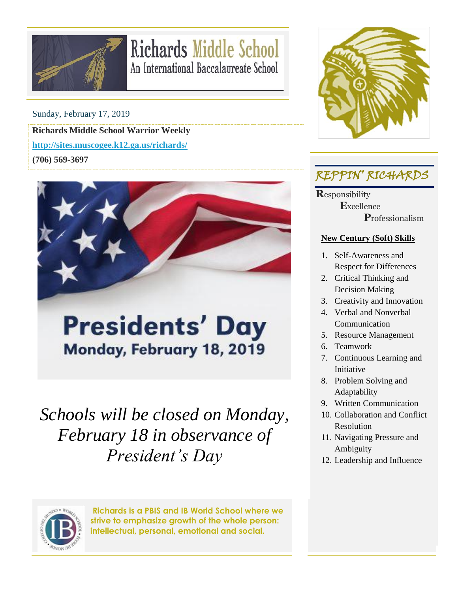

## **Richards Middle School** An International Baccalaureate School

Sunday, February 17, 2019

**Richards Middle School Warrior Weekly <http://sites.muscogee.k12.ga.us/richards/>**

**(706) 569-3697**



# **Presidents' Day** Monday, February 18, 2019

*Schools will be closed on Monday, February 18 in observance of President's Day* 



**Richards is a PBIS and IB World School where we strive to emphasize growth of the whole person: intellectual, personal, emotional and social.**



## REPPIN' RICHARDS

**R**esponsibility  **E**xcellence  **P**rofessionalism

#### **New Century (Soft) Skills**

- 1. Self-Awareness and Respect for Differences
- 2. Critical Thinking and Decision Making
- 3. Creativity and Innovation
- 4. Verbal and Nonverbal Communication
- 5. Resource Management
- 6. Teamwork
- 7. Continuous Learning and Initiative
- 8. Problem Solving and Adaptability
- 9. Written Communication
- 10. Collaboration and Conflict Resolution
- 11. Navigating Pressure and Ambiguity
- 12. Leadership and Influence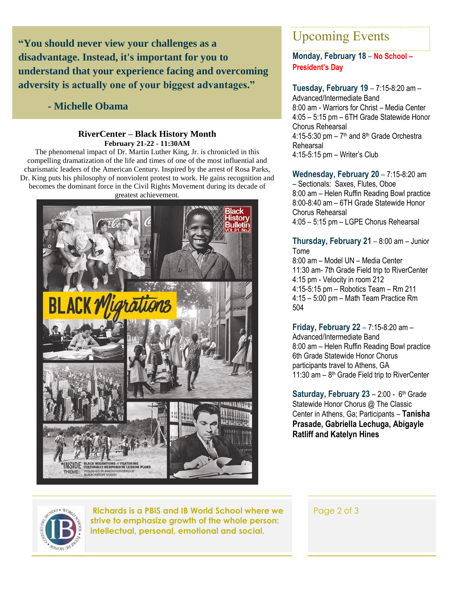**"You should never view your challenges as a disadvantage. Instead, it's important for you to understand that your experience facing and overcoming adversity is actually one of your biggest advantages."**

#### **- Michelle Obama**

#### **RiverCenter – Black History Month February 21-22 - 11:30AM**

The phenomenal impact of Dr. Martin Luther King, Jr. is chronicled in this compelling dramatization of the life and times of one of the most influential and charismatic leaders of the American Century. Inspired by the arrest of Rosa Parks, Dr. King puts his philosophy of nonviolent protest to work. He gains recognition and becomes the dominant force in the Civil Rights Movement during its decade of greatest achievement.



### Upcoming Events

#### **Monday, February 18** – **No School – President's Day**

**Tuesday, February 19** – 7:15-8:20 am – Advanced/Intermediate Band 8:00 am - Warriors for Christ – Media Center 4:05 – 5:15 pm – 6TH Grade Statewide Honor Chorus Rehearsal  $4:15-5:30$  pm  $-7<sup>th</sup>$  and  $8<sup>th</sup>$  Grade Orchestra Rehearsal 4:15-5:15 pm – Writer's Club

**Wednesday, February 20** – 7:15-8:20 am – Sectionals: Saxes, Flutes, Oboe 8:00 am – Helen Ruffin Reading Bowl practice 8:00-8:40 am – 6TH Grade Statewide Honor Chorus Rehearsal 4:05 – 5:15 pm – LGPE Chorus Rehearsal

**Thursday, February 21** – 8:00 am – Junior Tome

8:00 am – Model UN – Media Center 11:30 am- 7th Grade Field trip to RiverCenter 4:15 pm - Velocity in room 212 4:15-5:15 pm – Robotics Team – Rm 211 4:15 – 5:00 pm – Math Team Practice Rm 504

**Friday, February 22** – 7:15-8:20 am – Advanced/Intermediate Band 8:00 am – Helen Ruffin Reading Bowl practice 6th Grade Statewide Honor Chorus participants travel to Athens, GA 11:30 am  $-8$ <sup>th</sup> Grade Field trip to RiverCenter

Saturday, February 23 - 2:00 - 6<sup>th</sup> Grade Statewide Honor Chorus @ The Classic Center in Athens, Ga; Participants – **Tanisha Prasade, Gabriella Lechuga, Abigayle Ratliff and Katelyn Hines**



**Richards is a PBIS and IB World School where we strive to emphasize growth of the whole person: intellectual, personal, emotional and social.**

Page 2 of 3